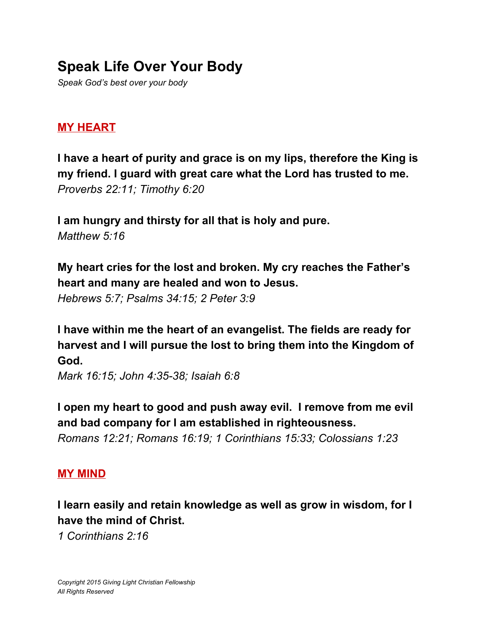# **Speak Life Over Your Body**

*Speak God's best over your body*

### **MY HEART**

**I have a heart of purity and grace is on my lips, therefore the King is my friend. I guard with great care what the Lord has trusted to me.** *Proverbs 22:11; Timothy 6:20*

**I am hungry and thirsty for all that is holy and pure.** *Matthew 5:16*

**My heart cries for the lost and broken. My cry reaches the Father's heart and many are healed and won to Jesus.**

*Hebrews 5:7; Psalms 34:15; 2 Peter 3:9*

**I have within me the heart of an evangelist. The fields are ready for harvest and I will pursue the lost to bring them into the Kingdom of God.**

*Mark 16:15; John 4:35-38; Isaiah 6:8*

**I open my heart to good and push away evil. I remove from me evil and bad company for I am established in righteousness.** *Romans 12:21; Romans 16:19; 1 Corinthians 15:33; Colossians 1:23*

#### **MY MIND**

**I learn easily and retain knowledge as well as grow in wisdom, for I have the mind of Christ.**

*1 Corinthians 2:16*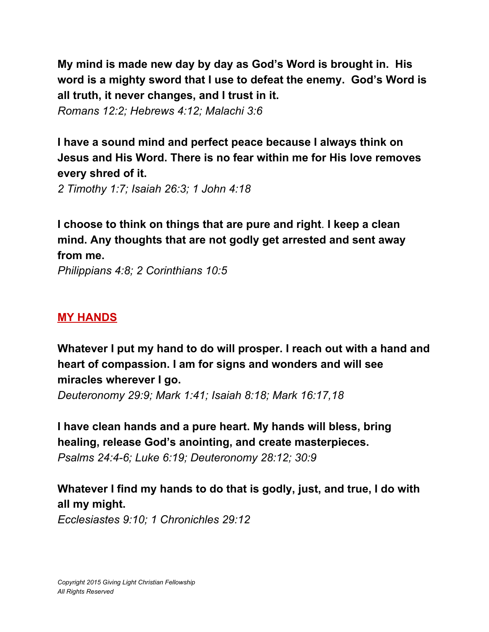**My mind is made new day by day as God's Word is brought in. His word is a mighty sword that I use to defeat the enemy. God's Word is all truth, it never changes, and I trust in it.**

*Romans 12:2; Hebrews 4:12; Malachi 3:6*

**I have a sound mind and perfect peace because I always think on Jesus and His Word. There is no fear within me for His love removes every shred of it.**

*2 Timothy 1:7; Isaiah 26:3; 1 John 4:18*

**I choose to think on things that are pure and right**. **I keep a clean mind. Any thoughts that are not godly get arrested and sent away from me.**

*Philippians 4:8; 2 Corinthians 10:5*

### **MY HANDS**

**Whatever I put my hand to do will prosper. I reach out with a hand and heart of compassion. I am for signs and wonders and will see miracles wherever I go.**

*Deuteronomy 29:9; Mark 1:41; Isaiah 8:18; Mark 16:17,18*

**I have clean hands and a pure heart. My hands will bless, bring healing, release God's anointing, and create masterpieces.** *Psalms 24:4-6; Luke 6:19; Deuteronomy 28:12; 30:9*

**Whatever I find my hands to do that is godly, just, and true, I do with all my might.**

*Ecclesiastes 9:10; 1 Chronichles 29:12*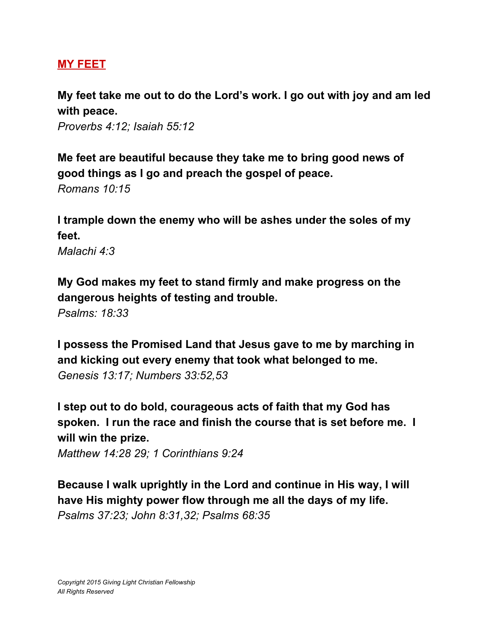### **MY FEET**

**My feet take me out to do the Lord's work. I go out with joy and am led with peace.**

*Proverbs 4:12; Isaiah 55:12*

**Me feet are beautiful because they take me to bring good news of good things as I go and preach the gospel of peace.** *Romans 10:15*

**I trample down the enemy who will be ashes under the soles of my feet.**

*Malachi 4:3*

**My God makes my feet to stand firmly and make progress on the dangerous heights of testing and trouble.**

*Psalms: 18:33*

**I possess the Promised Land that Jesus gave to me by marching in and kicking out every enemy that took what belonged to me.** *Genesis 13:17; Numbers 33:52,53*

**I step out to do bold, courageous acts of faith that my God has spoken. I run the race and finish the course that is set before me. I will win the prize.**

*Matthew 14:28 29; 1 Corinthians 9:24*

**Because I walk uprightly in the Lord and continue in His way, I will have His mighty power flow through me all the days of my life.** *Psalms 37:23; John 8:31,32; Psalms 68:35*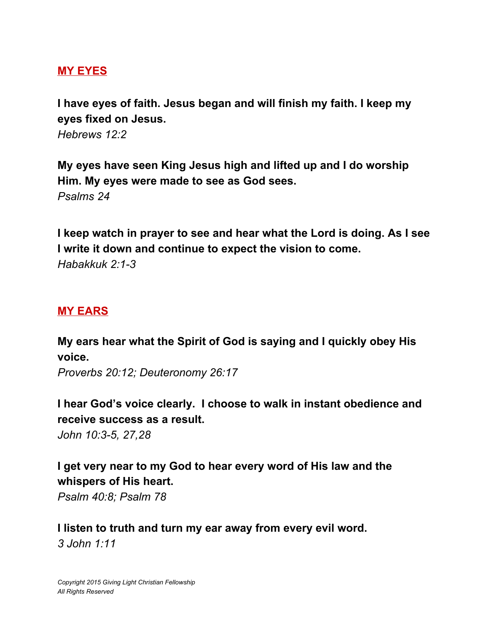#### **MY EYES**

**I have eyes of faith. Jesus began and will finish my faith. I keep my eyes fixed on Jesus.**

*Hebrews 12:2*

**My eyes have seen King Jesus high and lifted up and I do worship Him. My eyes were made to see as God sees.** *Psalms 24*

**I keep watch in prayer to see and hear what the Lord is doing. As I see I write it down and continue to expect the vision to come.** *Habakkuk 2:1-3*

#### **MY EARS**

**My ears hear what the Spirit of God is saying and I quickly obey His voice.**

*Proverbs 20:12; Deuteronomy 26:17*

**I hear God's voice clearly. I choose to walk in instant obedience and receive success as a result.** *John 10:3-5, 27,28*

# **I get very near to my God to hear every word of His law and the whispers of His heart.**

*Psalm 40:8; Psalm 78*

**I listen to truth and turn my ear away from every evil word.** *3 John 1:11*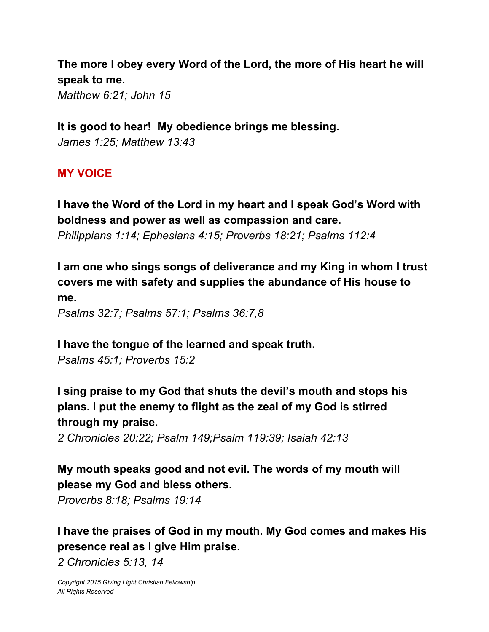**The more I obey every Word of the Lord, the more of His heart he will speak to me.**

*Matthew 6:21; John 15*

**It is good to hear! My obedience brings me blessing.** *James 1:25; Matthew 13:43*

#### **MY VOICE**

**I have the Word of the Lord in my heart and I speak God's Word with boldness and power as well as compassion and care.** *Philippians 1:14; Ephesians 4:15; Proverbs 18:21; Psalms 112:4*

**I am one who sings songs of deliverance and my King in whom I trust covers me with safety and supplies the abundance of His house to me.**

*Psalms 32:7; Psalms 57:1; Psalms 36:7,8*

**I have the tongue of the learned and speak truth.** *Psalms 45:1; Proverbs 15:2*

**I sing praise to my God that shuts the devil's mouth and stops his plans. I put the enemy to flight as the zeal of my God is stirred through my praise.**

*2 Chronicles 20:22; Psalm 149;Psalm 119:39; Isaiah 42:13*

## **My mouth speaks good and not evil. The words of my mouth will please my God and bless others.**

*Proverbs 8:18; Psalms 19:14*

**I have the praises of God in my mouth. My God comes and makes His presence real as I give Him praise.**

*2 Chronicles 5:13, 14*